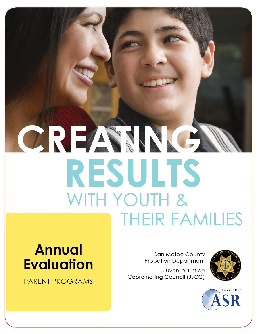# CREAMA **RESULTS** WITH YOUTH & **THEIR FAMILIES**

## **Annual Evaluation**

**PARENT PROGRAMS** 

**San Mateo County Probation Department** 

Juvenile Justice Coordinating Council (JJCC)



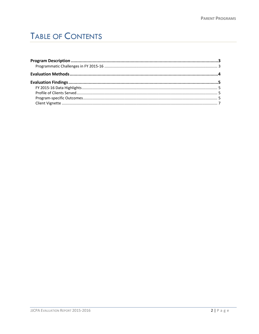## **TABLE OF CONTENTS**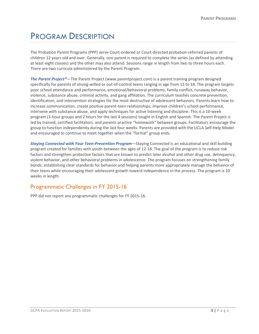## <span id="page-2-0"></span>PROGRAM DESCRIPTION

The Probation Parent Programs (PPP) serve Court-ordered or Court-directed probation-referred parents of children 12 years old and over. Generally, one parent is required to complete the series (as defined by attending at least eight classes) and the other may also attend. Sessions range in length from two to three hours each. There are two curricula administered by the Parent Program.

*The Parent Project®*—The Parent Project [\(www.parentproject.com\)](http://www.parentproject.com/) is a parent training program designed specifically for parents of strong-willed or out-of-control teens ranging in age from 13 to 18. The program targets poor school attendance and performance, emotional/behavioral problems, family conflict, runaway behavior, violence, substance abuse, criminal activity, and gang affiliation. The curriculum teaches concrete prevention, identification, and intervention strategies for the most destructive of adolescent behaviors. Parents learn how to increase communication, create positive parent-teen relationships, improve children's school performance, intervene with substance abuse, and apply techniques for active listening and discipline. This is a 10-week program (3-hour groups and 2 hours for the last 4 sessions) taught in English and Spanish. The Parent Project is led by trained, certified facilitators, and parents practice "homework" between groups. Facilitators encourage the group to function independently during the last four weeks. Parents are provided with the UCLA Self-Help Model and encouraged to continue to meet together when the "formal" group ends.

*Staying Connected with Your Teen-Prevention Program*—Staying Connected is an educational and skill building program created for families with youth between the ages of 12-18. The goal of the program is to reduce risk factors and strengthen protective factors that are known to predict later alcohol and other drug use, delinquency, violent behavior, and other behavioral problems in adolescence. The program focuses on strengthening family bonds; establishing clear standards for behavior and helping parents more appropriately manage the behavior of their teens while encouraging their adolescent growth toward independence in the process. The program is 10 weeks in length.

#### <span id="page-2-1"></span>Programmatic Challenges in FY 2015-16

PPP did not report any programmatic challenges for FY 2015-16.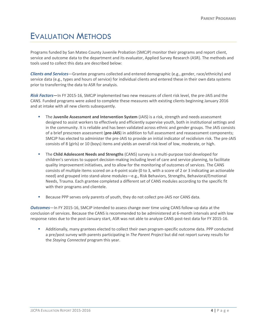## <span id="page-3-0"></span>EVALUATION METHODS

Programs funded by San Mateo County Juvenile Probation (SMCJP) monitor their programs and report client, service and outcome data to the department and its evaluator, Applied Survey Research (ASR). The methods and tools used to collect this data are described below:

*Clients and Services*—Grantee programs collected and entered demographic (e.g., gender, race/ethnicity) and service data (e.g., types and hours of service) for individual clients and entered these in their own data systems prior to transferring the data to ASR for analysis.

*Risk Factors***—**In FY 2015-16, SMCJP implemented two new measures of client risk level, the pre-JAIS and the CANS. Funded programs were asked to complete these measures with existing clients beginning January 2016 and at intake with all new clients subsequently.

- The **Juvenile Assessment and Intervention System** (JAIS) is a risk, strength and needs assessment designed to assist workers to effectively and efficiently supervise youth, both in institutional settings and in the community. It is reliable and has been validated across ethnic and gender groups. The JAIS consists of a brief prescreen assessment (**pre-JAIS**) in addition to full assessment and reassessment components; SMCJP has elected to administer the pre-JAIS to provide an initial indicator of recidivism risk. The pre-JAIS consists of 8 (girls) or 10 (boys) items and yields an overall risk level of low, moderate, or high.
- The **Child Adolescent Needs and Strengths** (CANS) survey is a multi-purpose tool developed for children's services to support decision-making including level of care and service planning, to facilitate quality improvement initiatives, and to allow for the monitoring of outcomes of services. The CANS consists of multiple items scored on a 4-point scale (0 to 3, with a score of 2 or 3 indicating an actionable need) and grouped into stand-alone modules—e.g., Risk Behaviors, Strengths, Behavioral/Emotional Needs, Trauma. Each grantee completed a different set of CANS modules according to the specific fit with their programs and clientele.
- Because PPP serves only parents of youth, they do not collect pre-JAIS nor CANS data.

*Outcomes*—In FY 2015-16, SMCJP intended to assess change over time using CANS follow-up data at the conclusion of services. Because the CANS is recommended to be administered at 6-month intervals and with low response rates due to the post-January start, ASR was not able to analyze CANS post-test data for FY 2015-16.

 Additionally, many grantees elected to collect their own program-specific outcome data. PPP conducted a pre/post survey with parents participating in *The Parent Project* but did not report survey results for the *Staying Connected* program this year.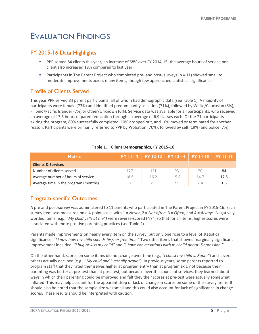## <span id="page-4-0"></span>EVALUATION FINDINGS

#### <span id="page-4-1"></span>FY 2015-16 Data Highlights

- PPP served 84 clients this year, an increase of 68% over FY 2014-15; the average hours of service per client also increased 19% compared to last year
- **Participants in The Parent Project who completed pre- and post- surveys (n = 11) showed small to** moderate improvements across many items, though few approached statistical significance

#### <span id="page-4-2"></span>Profile of Clients Served

This year PPP served 84 parent participants, all of whom had demographic data (see Table 1). A majority of participants were female (73%) and identified predominantly as Latino (71%), followed by White/Caucasian (8%), Filipino/Pacific Islander (7%) or Other/Unknown (6%). Service data was available for all participants, who received an average of 17.5 hours of parent education through an average of 6.9 classes each. Of the 71 participants exiting the program, 80% successfully completed, 10% dropped out, and 10% moved or terminated for another reason. Participants were primarily referred to PPP by Probation (70%), followed by self (19%) and police (7%).

| <b>Metric</b>                        |      |      |      | $FY$ 11-12   FY 12-13   FY 13-14   FY 14-15   FY 15-16 |      |
|--------------------------------------|------|------|------|--------------------------------------------------------|------|
| <b>Clients &amp; Services</b>        |      |      |      |                                                        |      |
| Number of clients served             | 127  | 121  | 93   | 50                                                     | 84   |
| Average number of hours of service   | 18.6 | 16.2 | 15.8 | 14.7                                                   | 17.5 |
| Average time in the program (months) | 1.8  | 2.1  | 2.5  | 2.4                                                    | 1.8  |

|  |  | Table 1. Client Demographics, FY 2015-16 |  |  |
|--|--|------------------------------------------|--|--|
|--|--|------------------------------------------|--|--|

### <span id="page-4-3"></span>Program-specific Outcomes

A pre and post-survey was administered to 11 parents who participated in The Parent Project in FY 2015-16. Each survey item was measured on a 4-point scale, with 1 = *Never*, 2 = *Not often*, 3 = *Often*, and 4 = *Always*. Negatively worded items (e.g., *"My child yells at me")* were reverse-scored ("rs") so that for all items, higher scores were associated with more positive parenting practices (see Table 2).

Parents made improvements on nearly every item on the survey, but only one rose to a level of statistical significance: "*I know how my child spends his/her free time."* Two other items that showed marginally significant improvement included: *"I hug or kiss my child"* and *"I have conversations with my child about: Depression."*

On the other hand, scores on some items did not change over time (e.g., *"I check my child's: Room"*) and several others actually declined (e.g., "*My child and I verbally argue"*). In previous years, some parents reported to program staff that they rated themselves higher at program entry than at program exit, not because their parenting was better at pre-test than at post-test, but because over the course of services, they learned about ways in which their parenting could be improved and felt they their scores at pre-test were actually somewhat inflated. This may help account for the apparent drop or lack of change in scores on some of the survey items. It should also be noted that the sample size was small and this could also account for lack of significance in change scores. These results should be interpreted with caution.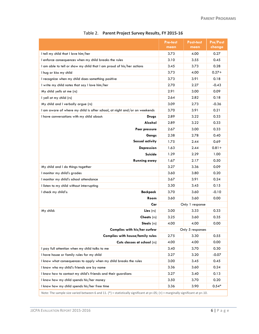|                                                                                                                                 | <b>Pre-test</b><br>mean | <b>Post-test</b><br>mean | <b>Pre/Post</b><br>change |
|---------------------------------------------------------------------------------------------------------------------------------|-------------------------|--------------------------|---------------------------|
| I tell my child that I love him/her                                                                                             | 3.73                    | 4.00                     | 0.27                      |
| I enforce consequences when my child breaks the rules                                                                           | 3.10                    | 3.55                     | 0.45                      |
| I am able to tell or show my child that I am proud of his/her actions                                                           | 3.45                    | 3.73                     | 0.28                      |
| I hug or kiss my child                                                                                                          | 3.73                    | 4.00                     | $0.27 +$                  |
| I recognize when my child does something positive                                                                               | 3.73                    | 3.91                     | 0.18                      |
| I write my child notes that say I love him/her                                                                                  | 2.70                    | 2.27                     | $-0.43$                   |
| My child yells at me (rs)                                                                                                       | 2.91                    | 3.00                     | 0.09                      |
| I yell at my child (rs)                                                                                                         | 2.64                    | 2.82                     | 0.18                      |
| My child and I verbally argue (rs)                                                                                              | 3.09                    | 2.73                     | -0.36                     |
| I am aware of where my child is after school, at night and/or on weekends                                                       | 3.70                    | 3.91                     | 0.21                      |
| I have conversations with my child about:<br>Drugs                                                                              | 2.89                    | 3.22                     | 0.33                      |
| Alcohol                                                                                                                         | 2.89                    | 3.22                     | 0.33                      |
| Peer pressure                                                                                                                   | 2.67                    | 3.00                     | 0.33                      |
| Gangs                                                                                                                           | 2.38                    | 2.78                     | 0.40                      |
| Sexual activity                                                                                                                 | 1.75                    | 2.44                     | 0.69                      |
| <b>Depression</b>                                                                                                               | 1.63                    | 2.44                     | $0.81 +$                  |
| Suicide                                                                                                                         | 1.29                    | 2.29                     | 1.00                      |
| <b>Running away</b>                                                                                                             | 1.67                    | 2.17                     | 0.50                      |
| My child and I do things together                                                                                               | 3.27                    | 3.36                     | 0.09                      |
| I monitor my child's grades                                                                                                     | 3.60                    | 3.80                     | 0.20                      |
| I monitor my child's school attendance                                                                                          | 3.67                    | 3.91                     | 0.24                      |
| I listen to my child without interrupting                                                                                       | 3.30                    | 3.45                     | 0.15                      |
| Backpack<br>I check my child's:                                                                                                 | 3.70                    | 3.60                     | $-0.10$                   |
| Room                                                                                                                            | 3.60                    | 3.60                     | 0.00                      |
| Car                                                                                                                             |                         | Only 1 response          |                           |
| Lies (rs)<br>My child:                                                                                                          | 3.00                    | 3.33                     | 0.33                      |
| Cheats (rs)                                                                                                                     | 3.25                    | 3.60                     | 0.35                      |
| Steals (rs)                                                                                                                     | 4.00                    | 4.00                     | 0.00                      |
| Complies with his/her curfew                                                                                                    | Only 5 responses        |                          |                           |
| <b>Complies with house/family rules</b>                                                                                         | 2.75                    | 3.30                     | 0.55                      |
| Cuts classes at school (rs)                                                                                                     | 4.00                    | 4.00                     | 0.00                      |
| I pay full attention when my child talks to me                                                                                  | 3.40                    | 3.70                     | 0.30                      |
| I have house or family rules for my child                                                                                       | 3.27                    | 3.20                     | -0.07                     |
| I know what consequences to apply when my child breaks the rules                                                                | 3.00                    | 3.45                     | 0.45                      |
| I know who my child's friends are by name                                                                                       | 3.36                    | 3.60                     | 0.24                      |
| I know how to contact my child's friends and their guardians                                                                    | 3.27                    | 3.40                     | 0.13                      |
| I know how my child spends his/her money                                                                                        | 3.50                    | 3.70                     | 0.20                      |
| I know how my child spends his/her free time                                                                                    | 3.36                    | 3.90                     | $0.54*$                   |
| Note: The sample size varied between 6 and 11. (*) = statistically significant at p<.05; (+) = marginally significant at p<.00. |                         |                          |                           |

#### Table 2. **Parent Project Survey Results, FY 2015-16**